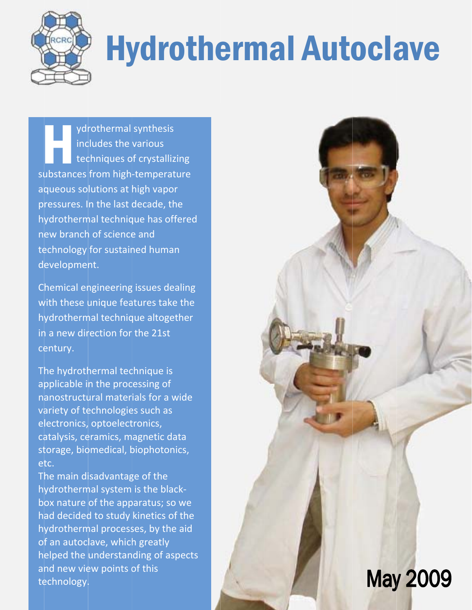

# **Hydrothermal Autoclave**

ydrothermal synthesis includes the various techniques of crystallizing substances from high-temperature aqueous solutions at high vapor pressures. In the last decade, the hydrothermal technique has offered new branch of science and technology for sustained human development.

Chemical engineering issues dealing with these unique features take the hydrothermal technique altogether in a new direction for the 21st century.

The hydrothermal technique is applicable in the processing of nanostructural materials for a wide variety of technologies such as electronics, optoelectronics, catalysis, ceramics, magnetic data storage, biomedical, biophotonics, etc.

The main disadvantage of the hydrothermal system is the blackbox nature of the apparatus; so we had decided to study kinetics of the hydrothermal processes, by the aid of an autoclave, which greatly helped the understanding of aspects and new view points of this technology.

# **May 2009**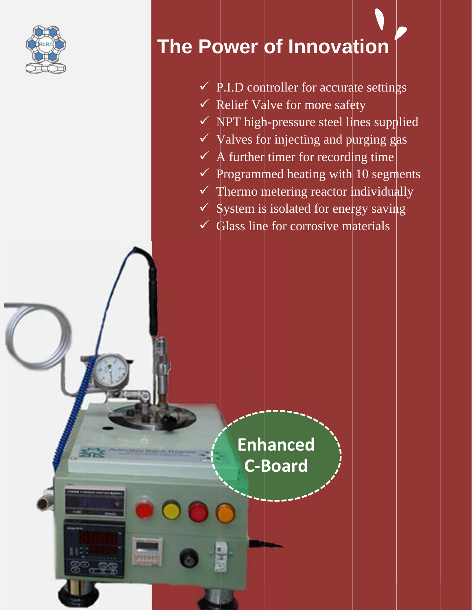

# The Power of Innovation

- $\checkmark$  P.I.D controller for accurate settings
- ← Relief Valve for more safety
- $\checkmark$  NPT high-pressure steel lines supplied
- $\checkmark$  Valves for injecting and purging gas
- $\checkmark$  A further timer for recording time
- $\checkmark$  Programmed heating with 10 segments
- $\checkmark$  Thermo metering reactor individually
- $\checkmark$  System is isolated for energy saving
- $\checkmark$  Glass line for corrosive materials

**Enhanced C-Board** 

**PATTER**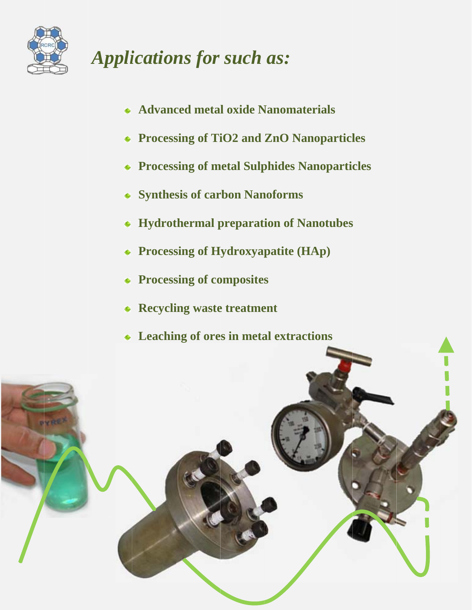

### **Applications for such as:**

- Advanced metal oxide Nanomaterials
- **\*** Processing of TiO2 and ZnO Nanoparticles
- **\* Processing of metal Sulphides Nanoparticles**
- \* Synthesis of carbon Nanoforms
- Hydrothermal preparation of Nanotubes
- **\*** Processing of Hydroxyapatite (HAp)
- **\*** Processing of composites
- \* Recycling waste treatment
- **\*** Leaching of ores in metal extractions

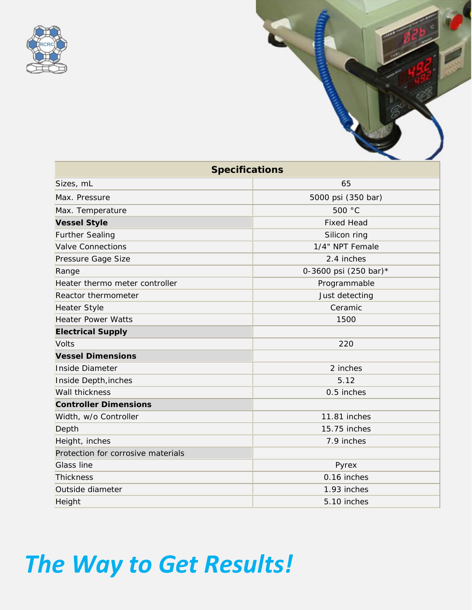

| <b>Specifications</b>              |                       |
|------------------------------------|-----------------------|
| Sizes, mL                          | 65                    |
| Max. Pressure                      | 5000 psi (350 bar)    |
| Max. Temperature                   | 500 °C                |
| <b>Vessel Style</b>                | <b>Fixed Head</b>     |
| <b>Further Sealing</b>             | Silicon ring          |
| Valve Connections                  | 1/4" NPT Female       |
| Pressure Gage Size                 | 2.4 inches            |
| Range                              | 0-3600 psi (250 bar)* |
| Heater thermo meter controller     | Programmable          |
| Reactor thermometer                | Just detecting        |
| <b>Heater Style</b>                | Ceramic               |
| <b>Heater Power Watts</b>          | 1500                  |
| <b>Electrical Supply</b>           |                       |
| <b>Volts</b>                       | 220                   |
| <b>Vessel Dimensions</b>           |                       |
| Inside Diameter                    | 2 inches              |
| Inside Depth, inches               | 5.12                  |
| <b>Wall thickness</b>              | 0.5 inches            |
| <b>Controller Dimensions</b>       |                       |
| Width, w/o Controller              | 11.81 inches          |
| Depth                              | 15.75 inches          |
| Height, inches                     | 7.9 inches            |
| Protection for corrosive materials |                       |
| Glass line                         | Pyrex                 |
| <b>Thickness</b>                   | 0.16 inches           |
| Outside diameter                   | 1.93 inches           |
| Height                             | 5.10 inches           |

# *The Way to Get Results!*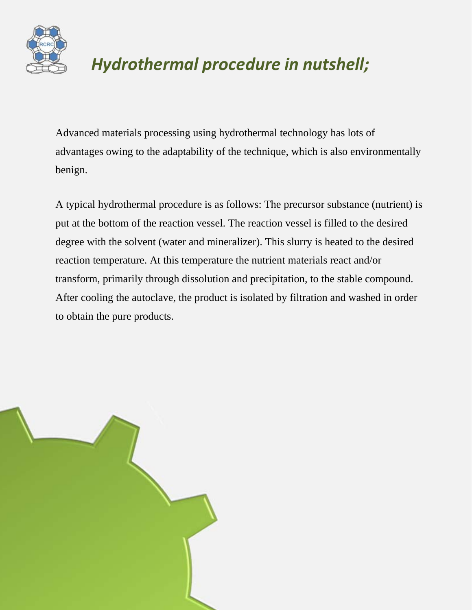

### *Hydrothermal procedure in nutshell;*

Advanced materials processing using hydrothermal technology has lots of advantages owing to the adaptability of the technique, which is also environmentally benign.

A typical hydrothermal procedure is as follows: The precursor substance (nutrient) is put at the bottom of the reaction vessel. The reaction vessel is filled to the desired degree with the solvent (water and mineralizer). This slurry is heated to the desired reaction temperature. At this temperature the nutrient materials react and/or transform, primarily through dissolution and precipitation, to the stable compound. After cooling the autoclave, the product is isolated by filtration and washed in order to obtain the pure products.

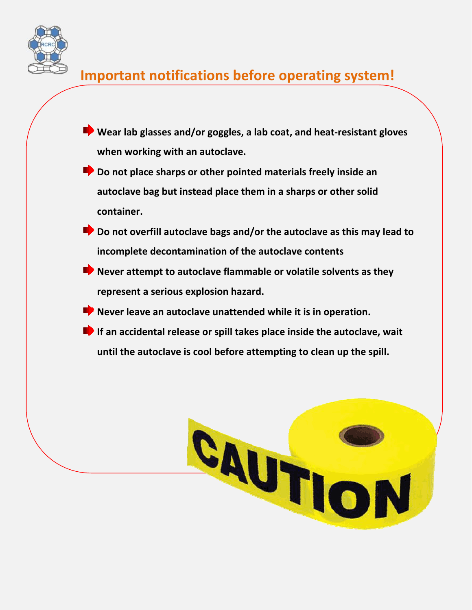

### **Important notifications before operating system!**

- **Wear lab glasses and/or goggles, a lab coat, and heat‐resistant gloves when working with an autoclave.**
- **Do not place sharps or other pointed materials freely inside an autoclave bag but instead place them in a sharps or other solid container.**
- **Do not overfill autoclave bags and/or the autoclave as this may lead to incomplete decontamination of the autoclave contents**
- **Never attempt to autoclave flammable or volatile solvents as they represent a serious explosion hazard.**
- **Never leave an autoclave unattended while it is in operation.**
- **If an accidental release or spill takes place inside the autoclave, wait until the autoclave is cool before attempting to clean up the spill.**

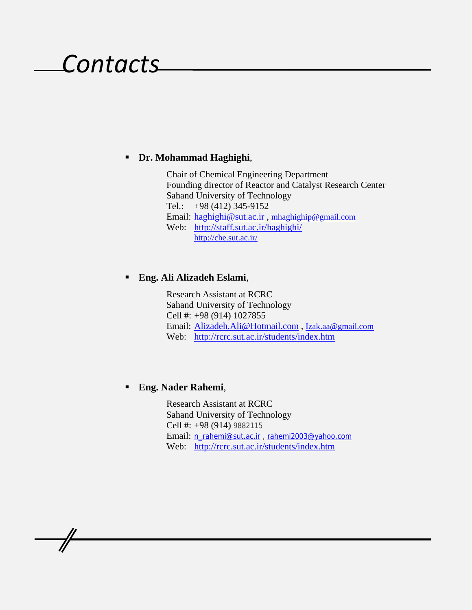## *Contacts*

### **Dr. Mohammad Haghighi**,

Chair of Chemical Engineering Department Founding director of Reactor and Catalyst Research Center Sahand University of Technology Tel.: +98 (412) 345-9152 Email: haghighi@sut.ac.ir , mhaghighip@gmail.com Web: http://staff.sut.ac.ir/haghighi/ http://che.sut.ac.ir/

### **Eng. Ali Alizadeh Eslami**,

Research Assistant at RCRC Sahand University of Technology Cell **#**: +98 (914) 1027855 Email: Alizadeh.Ali@Hotmail.com , Izak.aa@gmail.com Web: http://rcrc.sut.ac.ir/students/index.htm

### **Eng. Nader Rahemi**,

Research Assistant at RCRC Sahand University of Technology Cell **#**: +98 (914) 9882115 Email: n\_rahemi@sut.ac.ir , rahemi2003@yahoo.com Web: http://rcrc.sut.ac.ir/students/index.htm